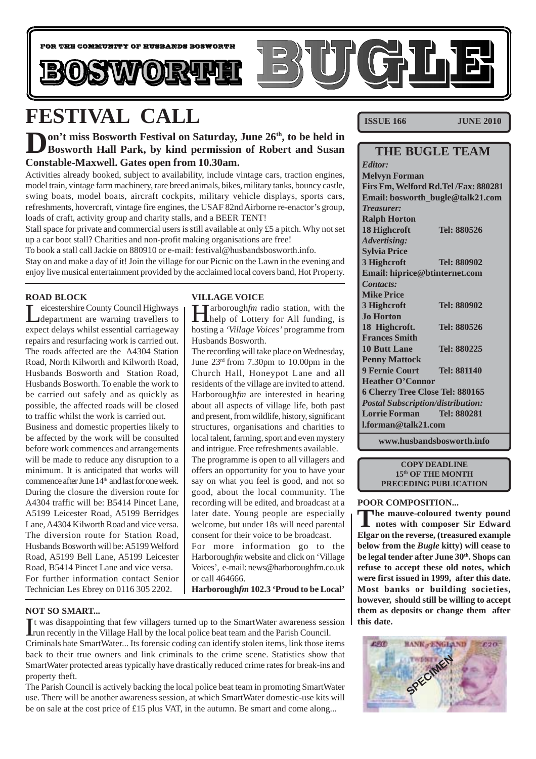

# **FESTIVAL CALL**

### **Don't miss Bosworth Festival on Saturday, June 26<sup>th</sup>, to be held in Bosworth Hall Park, by kind permission of Robert and Susan Constable-Maxwell. Gates open from 10.30am.**

Activities already booked, subject to availability, include vintage cars, traction engines, model train, vintage farm machinery, rare breed animals, bikes, military tanks, bouncy castle, swing boats, model boats, aircraft cockpits, military vehicle displays, sports cars, refreshments, hovercraft, vintage fire engines, the USAF 82nd Airborne re-enactor's group, loads of craft, activity group and charity stalls, and a BEER TENT!

Stall space for private and commercial users is still available at only £5 a pitch. Why not set up a car boot stall? Charities and non-profit making organisations are free!

To book a stall call Jackie on 880910 or e-mail: festival@husbandsbosworth.info. Stay on and make a day of it! Join the village for our Picnic on the Lawn in the evening and enjoy live musical entertainment provided by the acclaimed local covers band, Hot Property.

### **ROAD BLOCK**

Leicestershire County Council Highways department are warning travellers to expect delays whilst essential carriageway repairs and resurfacing work is carried out. The roads affected are the A4304 Station Road, North Kilworth and Kilworth Road, Husbands Bosworth and Station Road, Husbands Bosworth. To enable the work to be carried out safely and as quickly as possible, the affected roads will be closed to traffic whilst the work is carried out.

Business and domestic properties likely to be affected by the work will be consulted before work commences and arrangements will be made to reduce any disruption to a minimum. It is anticipated that works will commence after June 14<sup>th</sup> and last for one week. During the closure the diversion route for A4304 traffic will be: B5414 Pincet Lane, A5199 Leicester Road, A5199 Berridges Lane, A4304 Kilworth Road and vice versa. The diversion route for Station Road, Husbands Bosworth will be: A5199 Welford Road, A5199 Bell Lane, A5199 Leicester Road, B5414 Pincet Lane and vice versa. For further information contact Senior Technician Les Ebrey on 0116 305 2202.

### **VILLAGE VOICE**

Harborough*fm* radio station, with the help of Lottery for All funding, is hosting a *'Village Voices'* programme from Husbands Bosworth.

The recording will take place on Wednesday, June 23rd from 7.30pm to 10.00pm in the Church Hall, Honeypot Lane and all residents of the village are invited to attend. Harborough*fm* are interested in hearing about all aspects of village life, both past and present, from wildlife, history, significant structures, organisations and charities to local talent, farming, sport and even mystery and intrigue. Free refreshments available.

The programme is open to all villagers and offers an opportunity for you to have your say on what you feel is good, and not so good, about the local community. The recording will be edited, and broadcast at a later date. Young people are especially welcome, but under 18s will need parental consent for their voice to be broadcast.

For more information go to the Harborough*fm* website and click on 'Village Voices', e-mail: news@harboroughfm.co.uk or call 464666.

**Harborough***fm* **102.3 'Proud to be Local'**

### **NOT SO SMART...**

It was disappointing that few villagers turned up to the SmartWater awareness sesses from recently in the Village Hall by the local police beat team and the Parish Council. t was disappointing that few villagers turned up to the SmartWater awareness session

Criminals hate SmartWater... Its forensic coding can identify stolen items, link those items back to their true owners and link criminals to the crime scene. Statistics show that SmartWater protected areas typically have drastically reduced crime rates for break-ins and property theft.

The Parish Council is actively backing the local police beat team in promoting SmartWater use. There will be another awareness session, at which SmartWater domestic-use kits will be on sale at the cost price of £15 plus VAT, in the autumn. Be smart and come along...

**ISSUE 166 JUNE 2010** 

### **THE BUGLE TEAM**

*Editor:* **Melvyn Forman Firs Fm, Welford Rd.Tel /Fax: 880281 Email: bosworth\_bugle@talk21.com** *Treasurer:* **Ralph Horton 18 Highcroft Tel: 880526** *Advertising:* **Sylvia Price 3 Highcroft Tel: 880902 Email: hiprice@btinternet.com** *Contacts:* **Mike Price 3 Highcroft Tel: 880902 Jo Horton 18 Highcroft. Tel: 880526 Frances Smith 10 Butt Lane Tel: 880225 Penny Mattock 9 Fernie Court Tel: 881140 Heather O'Connor 6 Cherry Tree Close Tel: 880165** *Postal Subscription/distribution:* **Lorrie Forman Tel: 880281 l.forman@talk21.com**

**www.husbandsbosworth.info**

#### **COPY DEADLINE 15th OF THE MONTH PRECEDING PUBLICATION**

### **POOR COMPOSITION...**

**The mauve-coloured twenty pound notes with composer Sir Edward Elgar on the reverse, (treasured example below from the** *Bugle* **kitty) will cease to** be legal tender after June 30<sup>th</sup>. Shops can **refuse to accept these old notes, which were first issued in 1999, after this date. Most banks or building societies, however, should still be willing to accept them as deposits or change them after this date.**

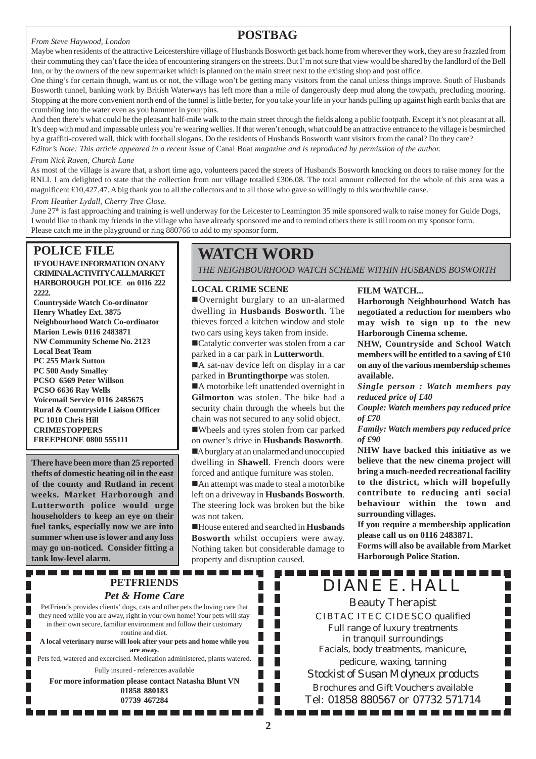#### *From Steve Haywood, London*

### **POSTBAG**

Maybe when residents of the attractive Leicestershire village of Husbands Bosworth get back home from wherever they work, they are so frazzled from their commuting they can't face the idea of encountering strangers on the streets. But I'm not sure that view would be shared by the landlord of the Bell Inn, or by the owners of the new supermarket which is planned on the main street next to the existing shop and post office.

One thing's for certain though, want us or not, the village won't be getting many visitors from the canal unless things improve. South of Husbands Bosworth tunnel, banking work by British Waterways has left more than a mile of dangerously deep mud along the towpath, precluding mooring. Stopping at the more convenient north end of the tunnel is little better, for you take your life in your hands pulling up against high earth banks that are crumbling into the water even as you hammer in your pins.

And then there's what could be the pleasant half-mile walk to the main street through the fields along a public footpath. Except it's not pleasant at all. It's deep with mud and impassable unless you're wearing wellies. If that weren't enough, what could be an attractive entrance to the village is besmirched by a graffiti-covered wall, thick with football slogans. Do the residents of Husbands Bosworth want visitors from the canal? Do they care? *Editor's Note: This article appeared in a recent issue of* Canal Boat *magazine and is reproduced by permission of the author.*

#### *From Nick Raven, Church Lane*

As most of the village is aware that, a short time ago, volunteers paced the streets of Husbands Bosworth knocking on doors to raise money for the RNLI. I am delighted to state that the collection from our village totalled £306.08. The total amount collected for the whole of this area was a magnificent £10,427.47. A big thank you to all the collectors and to all those who gave so willingly to this worthwhile cause.

*From Heather Lydall, Cherry Tree Close.*

June 27<sup>th</sup> is fast approaching and training is well underway for the Leicester to Leamington 35 mile sponsored walk to raise money for Guide Dogs, I would like to thank my friends in the village who have already sponsored me and to remind others there is still room on my sponsor form. Please catch me in the playground or ring 880766 to add to my sponsor form.

### **POLICE FILE**

**IFYOU HAVE INFORMATION ON ANY CRIMINAL ACTIVITY CALL MARKET HARBOROUGH POLICE on 0116 222 2222.**

**Countryside Watch Co-ordinator Henry Whatley Ext. 3875 Neighbourhood Watch Co-ordinator Marion Lewis 0116 2483871 NW Community Scheme No. 2123 Local Beat Team PC 255 Mark Sutton PC 500 Andy Smalley PCSO 6569 Peter Willson PCSO 6636 Ray Wells Voicemail Service 0116 2485675 Rural & Countryside Liaison Officer PC 1010 Chris Hill CRIMESTOPPERS FREEPHONE 0800 555111**

**There have been more than 25 reported thefts of domestic heating oil in the east of the county and Rutland in recent weeks. Market Harborough and Lutterworth police would urge householders to keep an eye on their fuel tanks, especially now we are into summer when use is lower and any loss may go un-noticed. Consider fitting a tank low-level alarm.**

# **WATCH WORD**

*THE NEIGHBOURHOOD WATCH SCHEME WITHIN HUSBANDS BOSWORTH*

#### **LOCAL CRIME SCENE**

!Overnight burglary to an un-alarmed dwelling in **Husbands Bosworth**. The thieves forced a kitchen window and stole two cars using keys taken from inside.

■Catalytic converter was stolen from a car parked in a car park in **Lutterworth**.

A sat-nav device left on display in a car parked in **Bruntingthorpe** was stolen.

■A motorbike left unattended overnight in **Gilmorton** was stolen. The bike had a security chain through the wheels but the chain was not secured to any solid object. !Wheels and tyres stolen from car parked

on owner's drive in **Husbands Bosworth**. A burglary at an unalarmed and unoccupied dwelling in **Shawell**. French doors were forced and antique furniture was stolen.

■An attempt was made to steal a motorbike left on a driveway in **Husbands Bosworth**. The steering lock was broken but the bike was not taken.

!House entered and searched in **Husbands Bosworth** whilst occupiers were away. Nothing taken but considerable damage to property and disruption caused.

### **FILM WATCH...**

**Harborough Neighbourhood Watch has negotiated a reduction for members who may wish to sign up to the new Harborough Cinema scheme.**

**NHW, Countryside and School Watch members will be entitled to a saving of £10 on any of the various membership schemes available.**

*Single person : Watch members pay reduced price of £40*

*Couple: Watch members pay reduced price of £70*

*Family: Watch members pay reduced price of £90*

**NHW have backed this initiative as we believe that the new cinema project will bring a much-needed recreational facility to the district, which will hopefully contribute to reducing anti social behaviour within the town and surrounding villages.**

**If you require a membership application please call us on 0116 2483871.**

**Forms will also be available from Market Harborough Police Station.**

----------

------------

### -----------**PETFRIENDS** *Pet & Home Care*

PetFriends provides clients' dogs, cats and other pets the loving care that they need while you are away, right in your own home! Your pets will stay in their own secure, familiar environment and follow their customary routine and diet. **A local veterinary nurse will look after your pets and home while you**

**are away.** Pets fed, watered and excercised. Medication administered, plants watered.

Fully insured - references available

**For more information please contact Natasha Blunt VN 01858 880183 07739 467284**

. . . . . . . . . . . . . .

DIANE E. HALL Beauty Therapist CIBTAC ITEC CIDESCO qualified Full range of luxury treatments in tranquil surroundings Facials, body treatments, manicure, pedicure, waxing, tanning *Stockist of Susan Molyneux products* Brochures and Gift Vouchers available Tel: 01858 880567 or 07732 571714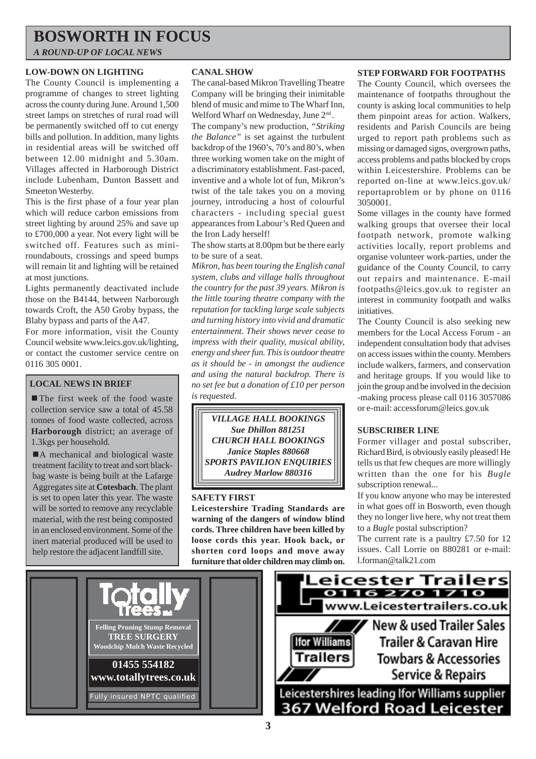# **BOSWORTH IN FOCUS**

*A ROUND-UP OF LOCAL NEWS*

### **LOW-DOWN ON LIGHTING**

The County Council is implementing a programme of changes to street lighting across the county during June. Around 1,500 street lamps on stretches of rural road will be permanently switched off to cut energy bills and pollution. In addition, many lights in residential areas will be switched off between 12.00 midnight and 5.30am. Villages affected in Harborough District include Lubenham, Dunton Bassett and Smeeton Westerby.

This is the first phase of a four year plan which will reduce carbon emissions from street lighting by around 25% and save up to £700,000 a year. Not every light will be switched off. Features such as miniroundabouts, crossings and speed bumps will remain lit and lighting will be retained at most junctions.

Lights permanently deactivated include those on the B4144, between Narborough towards Croft, the A50 Groby bypass, the Blaby bypass and parts of the A47.

For more information, visit the County Council website www.leics.gov.uk/lighting, or contact the customer service centre on 0116 305 0001.

### **LOCAL NEWS IN BRIEF**

■ The first week of the food waste collection service saw a total of 45.58 tonnes of food waste collected, across **Harborough** district; an average of 1.3kgs per household.

■A mechanical and biological waste treatment facility to treat and sort blackbag waste is being built at the Lafarge Aggregates site at **Cotesbach**. The plant is set to open later this year. The waste will be sorted to remove any recyclable material, with the rest being composted in an enclosed environment. Some of the inert material produced will be used to help restore the adjacent landfill site.

### **CANAL SHOW**

The canal-based Mikron Travelling Theatre Company will be bringing their inimitable blend of music and mime to The Wharf Inn, Welford Wharf on Wednesday, June 2<sup>nd</sup>.

The company's new production, *"Striking the Balance"* is set against the turbulent backdrop of the 1960's, 70's and 80's, when three working women take on the might of a discriminatory establishment. Fast-paced, inventive and a whole lot of fun, Mikron's twist of the tale takes you on a moving journey, introducing a host of colourful characters - including special guest appearances from Labour's Red Queen and the Iron Lady herself!

The show starts at 8.00pm but be there early to be sure of a seat.

*Mikron, has been touring the English canal system, clubs and village halls throughout the country for the past 39 years. Mikron is the little touring theatre company with the reputation for tackling large scale subjects and turning history into vivid and dramatic entertainment. Their shows never cease to impress with their quality, musical ability, energy and sheer fun. This is outdoor theatre as it should be - in amongst the audience and using the natural backdrop. There is no set fee but a donation of £10 per person is requested.*

*VILLAGE HALL BOOKINGS Sue Dhillon 881251 CHURCH HALL BOOKINGS Janice Staples 880668 SPORTS PAVILION ENQUIRIES Audrey Marlow 880316*

### **SAFETY FIRST**

**Leicestershire Trading Standards are warning of the dangers of window blind cords. Three children have been killed by loose cords this year. Hook back, or shorten cord loops and move away furniture that older children may climb on.**

### **STEP FORWARD FOR FOOTPATHS**

The County Council, which oversees the maintenance of footpaths throughout the county is asking local communities to help them pinpoint areas for action. Walkers, residents and Parish Councils are being urged to report path problems such as missing or damaged signs, overgrown paths, access problems and paths blocked by crops within Leicestershire. Problems can be reported on-line at www.leics.gov.uk/ reportaproblem or by phone on 0116 3050001.

Some villages in the county have formed walking groups that oversee their local footpath network, promote walking activities locally, report problems and organise volunteer work-parties, under the guidance of the County Council, to carry out repairs and maintenance. E-mail footpaths@leics.gov.uk to register an interest in community footpath and walks initiatives.

The County Council is also seeking new members for the Local Access Forum - an independent consultation body that advises on access issues within the county. Members include walkers, farmers, and conservation and heritage groups. If you would like to join the group and be involved in the decision -making process please call 0116 3057086 or e-mail: accessforum@leics.gov.uk

### **SUBSCRIBER LINE**

Former villager and postal subscriber, Richard Bird, is obviously easily pleased! He tells us that few cheques are more willingly written than the one for his *Bugle* subscription renewal...

If you know anyone who may be interested in what goes off in Bosworth, even though they no longer live here, why not treat them to a *Bugle* postal subscription?

The current rate is a paultry £7.50 for 12 issues. Call Lorrie on 880281 or e-mail: l.forman@talk21.com

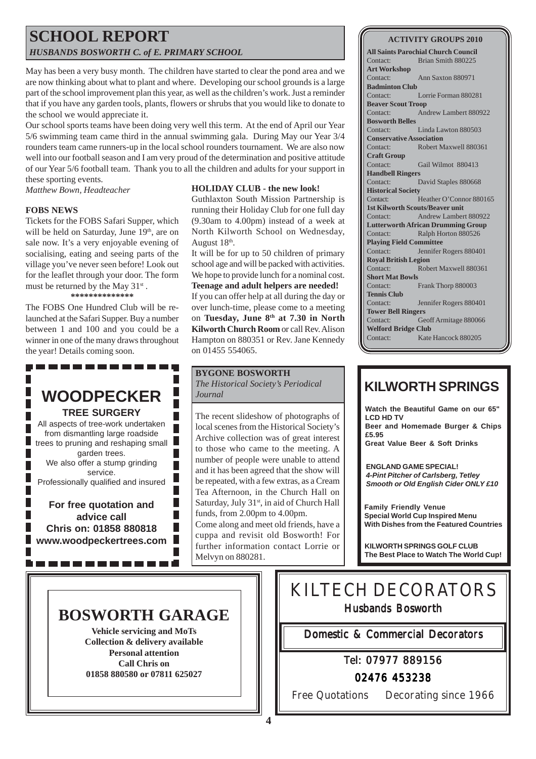### **SCHOOL REPORT** *HUSBANDS BOSWORTH C. of E. PRIMARY SCHOOL*

May has been a very busy month. The children have started to clear the pond area and we are now thinking about what to plant and where. Developing our school grounds is a large part of the school improvement plan this year, as well as the children's work. Just a reminder that if you have any garden tools, plants, flowers or shrubs that you would like to donate to the school we would appreciate it.

Our school sports teams have been doing very well this term. At the end of April our Year 5/6 swimming team came third in the annual swimming gala. During May our Year 3/4 rounders team came runners-up in the local school rounders tournament. We are also now well into our football season and I am very proud of the determination and positive attitude of our Year 5/6 football team. Thank you to all the children and adults for your support in these sporting events.

*Matthew Bown, Headteacher*

### **FOBS NEWS**

Tickets for the FOBS Safari Supper, which will be held on Saturday, June 19<sup>th</sup>, are on sale now. It's a very enjoyable evening of socialising, eating and seeing parts of the village you've never seen before! Look out for the leaflet through your door. The form must be returned by the May  $31^{st}$ . **\*\*\*\*\*\*\*\*\*\*\*\*\*\***

The FOBS One Hundred Club will be relaunched at the Safari Supper. Buy a number between 1 and 100 and you could be a winner in one of the many draws throughout the year! Details coming soon.

# **WOODPECKER**

----------

**TREE SURGERY** All aspects of tree-work undertaken Г from dismantling large roadside trees to pruning and reshaping small garden trees. We also offer a stump grinding service. Professionally qualified and insured

**For free quotation and advice call Chris on: 01858 880818 www.woodpeckertrees.com**

---------

### **HOLIDAY CLUB - the new look!**

Guthlaxton South Mission Partnership is running their Holiday Club for one full day (9.30am to 4.00pm) instead of a week at North Kilworth School on Wednesday, August 18th.

It will be for up to 50 children of primary school age and will be packed with activities. We hope to provide lunch for a nominal cost. **Teenage and adult helpers are needed!**

If you can offer help at all during the day or over lunch-time, please come to a meeting on **Tuesday, June 8th at 7.30 in North Kilworth Church Room** or call Rev. Alison Hampton on 880351 or Rev. Jane Kennedy on 01455 554065.

### **BYGONE BOSWORTH**

*The Historical Society's Periodical Journal*

The recent slideshow of photographs of local scenes from the Historical Society's Archive collection was of great interest to those who came to the meeting. A number of people were unable to attend and it has been agreed that the show will be repeated, with a few extras, as a Cream Tea Afternoon, in the Church Hall on Saturday, July 31<sup>st</sup>, in aid of Church Hall funds, from 2.00pm to 4.00pm. Come along and meet old friends, have a cuppa and revisit old Bosworth! For further information contact Lorrie or Melvyn on 880281.

| <b>ACTIVITY GROUPS 2010</b> |  |
|-----------------------------|--|
|                             |  |

**All Saints Parochial Church Council** Contact: Brian Smith 880225 **Art Workshop** Contact: Ann Saxton 880971 **Badminton Club** Contact: Lorrie Forman 880281 **Beaver Scout Troop** Contact: Andrew Lambert 880922 **Bosworth Belles** Contact: Linda Lawton 880503 **Conservative Association** Contact: Robert Maxwell 880361 **Craft Group** Contact: Gail Wilmot 880413 **Handbell Ringers** Contact: David Staples 880668 **Historical Society** Contact: Heather O'Connor 880165 **1st Kilworth Scouts/Beaver unit** Contact: Andrew Lambert 880922 **Lutterworth African Drumming Group** Contact: Ralph Horton 880526 **Playing Field Committee** Contact: Jennifer Rogers 880401 **Royal British Legion** Contact: Robert Maxwell 880361 **Short Mat Bowls** Contact: Frank Thorp 880003 **Tennis Club** Contact: Jennifer Rogers 880401 **Tower Bell Ringers** Contact: Geoff Armitage 880066 **Welford Bridge Club** Contact: Kate Hancock 880205

## **KILWORTH SPRINGS**

**Watch the Beautiful Game on our 65" LCD HD TV Beer and Homemade Burger & Chips £5.95**

**Great Value Beer & Soft Drinks**

**ENGLAND GAME SPECIAL!** *4-Pint Pitcher of Carlsberg, Tetley Smooth or Old English Cider ONLY £10*

**Family Friendly Venue Special World Cup Inspired Menu With Dishes from the Featured Countries**

**KILWORTH SPRINGS GOLF CLUB The Best Place to Watch The World Cup!**

### **BOSWORTH GARAGE**

Г Г

Г L

**Vehicle servicing and MoTs Collection & delivery available Personal attention Call Chris on 01858 880580 or 07811 625027**

# KILTECH DECORATORS

Husbands Bosworth

Domestic & Commercial Decorators

Tel: 07977 889156

02476 453238

Free Quotations Decorating since 1966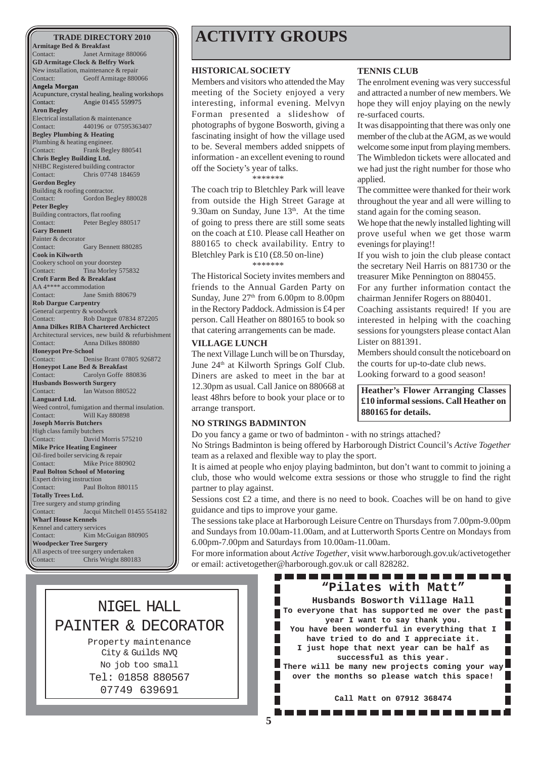**Armitage Bed & Breakfast** Contact: Janet Armitage 880066 **GD Armitage Clock & Belfry Work** New installation, maintenance & repair Contact: Geoff Armitage 880066 **Angela Morgan** Acupuncture, crystal healing, healing workshops Contact: Angie 01455 559975 **Aron Begley** Electrical installation & maintenance Contact: 440196 or 07595363407 **Begley Plumbing & Heating** Plumbing & heating engineer. Contact: Frank Begley 880541 **Chris Begley Building Ltd.** NHBC Registered building contractor Contact: Chris 07748 184659 **Gordon Begley** Building & roofing contractor. Contact: Gordon Begley 880028 **Peter Begley** Building contractors, flat roofing Contact: Peter Begley 880517 **Gary Bennett** Painter & decorator Contact: Gary Bennett 880285 **Cook in Kilworth** Cookery school on your doorstep<br>Contact: Tina Morley 5 Tina Morley 575832 **Croft Farm Bed & Breakfast** AA 4\*\*\*\* accommodation Contact: Jane Smith 880679 **Rob Dargue Carpentry** General carpentry & woodwork<br>Contact: Rob Dargue Rob Dargue 07834 872205 **Anna Dilkes RIBA Chartered Archictect** Architectural services, new build & refurbishment Contact: Anna Dilkes 880880 **Honeypot Pre-School** Contact: Denise Brant 07805 926872 **Honeypot Lane Bed & Breakfast** Contact: Carolyn Goffe 880836 **Husbands Bosworth Surgery** Contact: Ian Watson 880522 **Languard Ltd.** Weed control, fumigation and thermal insulation. Contact: Will Kay 880898 **Joseph Morris Butchers** High class family butchers Contact: David Morris 575210 **Mike Price Heating Engineer** Oil-fired boiler servicing & repair Contact: Mike Price 880902 **Paul Bolton School of Motoring** Expert driving instruction Contact: Paul Bolton 880115 **Totally Trees Ltd.** Tree surgery and stump grinding Contact: Jacqui Mitchell 01455 554182 **Wharf House Kennels** Kennel and cattery services Contact: Kim McGuigan 880905 **Woodpecker Tree Surgery** All aspects of tree surgery undertaken Contact: Chris Wright 880183

# **TRADE DIRECTORY 2010 ACTIVITY GROUPS**

#### **HISTORICAL SOCIETY**

Members and visitors who attended the May meeting of the Society enjoyed a very interesting, informal evening. Melvyn Forman presented a slideshow of photographs of bygone Bosworth, giving a fascinating insight of how the village used to be. Several members added snippets of information - an excellent evening to round off the Society's year of talks.

\*\*\*\*\*\*\*

The coach trip to Bletchley Park will leave from outside the High Street Garage at 9.30am on Sunday, June  $13<sup>th</sup>$ . At the time of going to press there are still some seats on the coach at £10. Please call Heather on 880165 to check availability. Entry to Bletchley Park is £10 (£8.50 on-line) \*\*\*\*\*\*\*

The Historical Society invites members and friends to the Annual Garden Party on Sunday, June  $27<sup>th</sup>$  from 6.00pm to 8.00pm in the Rectory Paddock. Admission is £4 per person. Call Heather on 880165 to book so that catering arrangements can be made.

#### **VILLAGE LUNCH**

The next Village Lunch will be on Thursday, June 24<sup>th</sup> at Kilworth Springs Golf Club. Diners are asked to meet in the bar at 12.30pm as usual. Call Janice on 880668 at least 48hrs before to book your place or to arrange transport.

#### **NO STRINGS BADMINTON**

Do you fancy a game or two of badminton - with no strings attached? No Strings Badminton is being offered by Harborough District Council's *Active Together* team as a relaxed and flexible way to play the sport.

It is aimed at people who enjoy playing badminton, but don't want to commit to joining a club, those who would welcome extra sessions or those who struggle to find the right partner to play against.

Sessions cost  $£2$  a time, and there is no need to book. Coaches will be on hand to give guidance and tips to improve your game.

The sessions take place at Harborough Leisure Centre on Thursdays from 7.00pm-9.00pm and Sundays from 10.00am-11.00am, and at Lutterworth Sports Centre on Mondays from 6.00pm-7.00pm and Saturdays from 10.00am-11.00am.

For more information about *Active Together*, visit www.harborough.gov.uk/activetogether or email: activetogether@harborough.gov.uk or call 828282.

### NIGEL HALL PAINTER & DECORATOR

Property maintenance City & Guilds NVQ No job too small Tel: 01858 880567 07749 639691

#### **TENNIS CLUB**

The enrolment evening was very successful and attracted a number of new members. We hope they will enjoy playing on the newly re-surfaced courts.

It was disappointing that there was only one member of the club at the AGM, as we would welcome some input from playing members. The Wimbledon tickets were allocated and we had just the right number for those who applied.

The committee were thanked for their work throughout the year and all were willing to stand again for the coming season.

We hope that the newly installed lighting will prove useful when we get those warm evenings for playing!!

If you wish to join the club please contact the secretary Neil Harris on 881730 or the treasurer Mike Pennington on 880455.

For any further information contact the chairman Jennifer Rogers on 880401.

Coaching assistants required! If you are interested in helping with the coaching sessions for youngsters please contact Alan Lister on 881391.

Members should consult the noticeboard on the courts for up-to-date club news. Looking forward to a good season!

**Heather's Flower Arranging Classes £10 informal sessions. Call Heather on 880165 for details.**

**have tried to do and I appreciate it. I just hope that next year can be half as**

**successful as this year. There will be many new projects coming your way**

**"Pilates with Matt" Husbands Bosworth Village Hall To everyone that has supported me over the past year I want to say thank you. You have been wonderful in everything that I**

,,,,,,,,,,,,,,,,,,,,,

**over the months so please watch this space!**

**Call Matt on 07912 368474**. . . . . . . . . . . . . . . . . .

Ш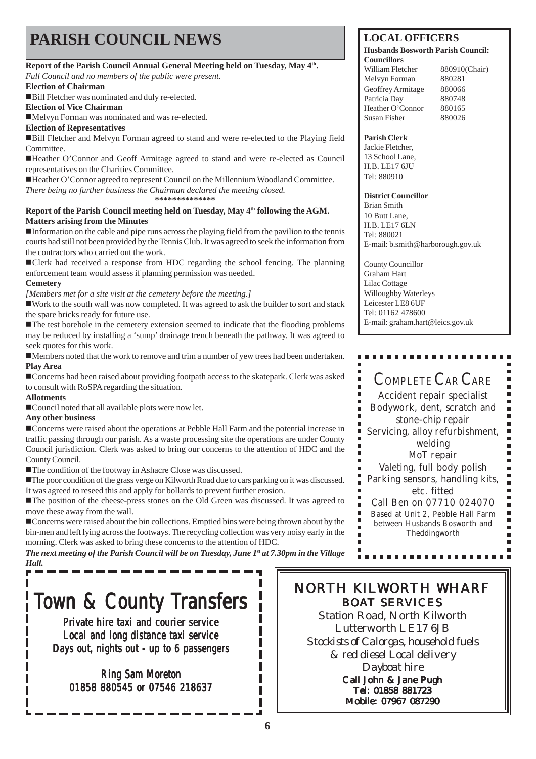# **PARISH COUNCIL NEWS** LOCAL OFFICERS

### Report of the Parish Council Annual General Meeting held on Tuesday, May 4<sup>th</sup>.

*Full Council and no members of the public were present.*

**Election of Chairman**

!Bill Fletcher was nominated and duly re-elected.

**Election of Vice Chairman**

!Melvyn Forman was nominated and was re-elected.

**Election of Representatives**

!Bill Fletcher and Melvyn Forman agreed to stand and were re-elected to the Playing field **Committee.** 

!Heather O'Connor and Geoff Armitage agreed to stand and were re-elected as Council representatives on the Charities Committee.

!Heather O'Connor agreed to represent Council on the Millennium Woodland Committee. *There being no further business the Chairman declared the meeting closed.* **\*\*\*\*\*\*\*\*\*\*\*\*\*\***

### Report of the Parish Council meeting held on Tuesday, May 4<sup>th</sup> following the AGM. **Matters arising from the Minutes**

!Information on the cable and pipe runs across the playing field from the pavilion to the tennis courts had still not been provided by the Tennis Club. It was agreed to seek the information from the contractors who carried out the work.

!Clerk had received a response from HDC regarding the school fencing. The planning enforcement team would assess if planning permission was needed.

### **Cemetery**

*[Members met for a site visit at the cemetery before the meeting.]*

!Work to the south wall was now completed. It was agreed to ask the builder to sort and stack the spare bricks ready for future use.

!The test borehole in the cemetery extension seemed to indicate that the flooding problems may be reduced by installing a 'sump' drainage trench beneath the pathway. It was agreed to seek quotes for this work.

!Members noted that the work to remove and trim a number of yew trees had been undertaken. **Play Area**

!Concerns had been raised about providing footpath access to the skatepark. Clerk was asked to consult with RoSPA regarding the situation.

### **Allotments**

Р

!Council noted that all available plots were now let.

### **Any other business**

!Concerns were raised about the operations at Pebble Hall Farm and the potential increase in traffic passing through our parish. As a waste processing site the operations are under County Council jurisdiction. Clerk was asked to bring our concerns to the attention of HDC and the County Council.

!The condition of the footway in Ashacre Close was discussed.

!The poor condition of the grass verge on Kilworth Road due to cars parking on it was discussed. It was agreed to reseed this and apply for bollards to prevent further erosion.

!The position of the cheese-press stones on the Old Green was discussed. It was agreed to move these away from the wall.

!Concerns were raised about the bin collections. Emptied bins were being thrown about by the bin-men and left lying across the footways. The recycling collection was very noisy early in the morning. Clerk was asked to bring these concerns to the attention of HDC.

*The next meeting of the Parish Council will be on Tuesday, June 1<sup>st</sup> at 7.30pm in the Village Hall.*

# Town & County Transfers

Private hire taxi and courier service Local and long distance taxi service Days out, nights out - up to 6 passengers

Ring Sam Moreton 01858 880545 or 07546 218637

#### **Husbands Bosworth Parish Council: Councillors**

William Fletcher 880910(Chair) Melvyn Forman 880281 Geoffrey Armitage 880066 Patricia Day 880748 Heather O'Connor 880165 Susan Fisher 880026

### **Parish Clerk**

Jackie Fletcher, 13 School Lane, H.B. LE17 6JU Tel: 880910

### **District Councillor**

Brian Smith 10 Butt Lane, H.B. LE17 6LN Tel: 880021 E-mail: b.smith@harborough.gov.uk

County Councillor Graham Hart Lilac Cottage Willoughby Waterleys Leicester LE8 6UF Tel: 01162 478600 E-mail: graham.hart@leics.gov.uk

### COMPLETE CAR CARE

Accident repair specialist Bodywork, dent, scratch and stone-chip repair Servicing, alloy refurbishment, welding MoT repair Valeting, full body polish Parking sensors, handling kits, etc. fitted Call Ben on 07710 024070 Based at Unit 2, Pebble Hall Farm between Husbands Bosworth and

Theddingworth

----------

### NORTH KILWORTH WHARF BOAT SERVICES

Station Road, North Kilworth Lutterworth LE17 6JB *Stockists of Calorgas, household fuels & red diesel Local delivery Dayboat hire* Call John & Jane Pugh Tel: 01858 881723 Mobile: 07967 087290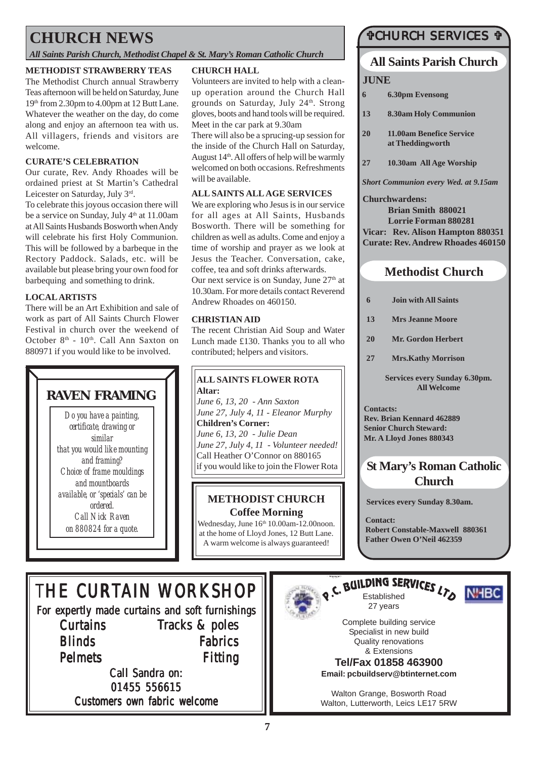# **CHURCH NEWS**

*All Saints Parish Church, Methodist Chapel & St. Mary's Roman Catholic Church*

### **METHODIST STRAWBERRY TEAS**

The Methodist Church annual Strawberry Teas afternoon will be held on Saturday, June 19th from 2.30pm to 4.00pm at 12 Butt Lane. Whatever the weather on the day, do come along and enjoy an afternoon tea with us. All villagers, friends and visitors are welcome.

### **CURATE'S CELEBRATION**

Our curate, Rev. Andy Rhoades will be ordained priest at St Martin's Cathedral Leicester on Saturday, July 3rd.

To celebrate this joyous occasion there will be a service on Sunday, July  $4<sup>th</sup>$  at 11.00am at All Saints Husbands Bosworth when Andy will celebrate his first Holy Communion. This will be followed by a barbeque in the Rectory Paddock. Salads, etc. will be available but please bring your own food for barbequing and something to drink.

### **LOCAL ARTISTS**

There will be an Art Exhibition and sale of work as part of All Saints Church Flower Festival in church over the weekend of October 8<sup>th</sup> - 10<sup>th</sup>. Call Ann Saxton on 880971 if you would like to be involved.

# **RAVEN FRAMING**

*Do you have a painting, certificate, drawing or similar that you would like mounting and framing? Choice of frame mouldings and mountboards available, or 'specials' can be ordered. Call Nick Raven on 880824 for a quote.*

### **CHURCH HALL**

Volunteers are invited to help with a cleanup operation around the Church Hall grounds on Saturday, July 24<sup>th</sup>. Strong gloves, boots and hand tools will be required. Meet in the car park at 9.30am

There will also be a sprucing-up session for the inside of the Church Hall on Saturday, August  $14<sup>th</sup>$ . All offers of help will be warmly welcomed on both occasions. Refreshments will be available.

### **ALL SAINTS ALL AGE SERVICES**

We are exploring who Jesus is in our service for all ages at All Saints, Husbands Bosworth. There will be something for children as well as adults. Come and enjoy a time of worship and prayer as we look at Jesus the Teacher. Conversation, cake, coffee, tea and soft drinks afterwards. Our next service is on Sunday, June  $27<sup>th</sup>$  at 10.30am. For more details contact Reverend Andrew Rhoades on 460150.

### **CHRISTIAN AID**

The recent Christian Aid Soup and Water Lunch made £130. Thanks you to all who contributed; helpers and visitors.

### **ALL SAINTS FLOWER ROTA Altar:**

*June 6, 13, 20 - Ann Saxton June 27, July 4, 11 - Eleanor Murphy* **Children's Corner:** *June 6, 13, 20 - Julie Dean June 27, July 4, 11 - Volunteer needed!* Call Heather O'Connor on 880165 if you would like to join the Flower Rota

### **METHODIST CHURCH Coffee Morning**

Wednesday, June 16th 10.00am-12.00noon. at the home of Lloyd Jones, 12 Butt Lane. A warm welcome is always guaranteed!

### **CHURCH SERVICES T**

### **All Saints Parish Church**

### **JUNE**

- **6 6.30pm Evensong**
- **13 8.30am Holy Communion**
- **20 11.00am Benefice Service at Theddingworth**
- **27 10.30am All Age Worship**

*Short Communion every Wed. at 9.15am*

**Churchwardens: Brian Smith 880021 Lorrie Forman 880281 Vicar: Rev. Alison Hampton 880351 Curate: Rev. Andrew Rhoades 460150**

### **Methodist Church**

- **6 Join with All Saints**
- **13 Mrs Jeanne Moore**
- **20 Mr. Gordon Herbert**
- **27 Mrs.Kathy Morrison**

**Services every Sunday 6.30pm. All Welcome**

**Contacts: Rev. Brian Kennard 462889 Senior Church Steward: Mr. A Lloyd Jones 880343**

### **St Mary's Roman Catholic Church**

**Services every Sunday 8.30am.**

**Contact: Robert Constable-Maxwell 880361 Father Owen O'Neil 462359**

# THE CURTAIN WORKSHOP

For expertly made curtains and soft furnishings **Curtains Blinds** Pelmets Tracks & poles Fabrics Fitting

Call Sandra on: 01455 556615 Customers own fabric welcome



# **RUILDING SERVICES LTD NHBC**



Complete building service Specialist in new build Quality renovations & Extensions

27 years

**Tel/Fax 01858 463900 Email: pcbuildserv@btinternet.com**

Walton Grange, Bosworth Road Walton, Lutterworth, Leics LE17 5RW